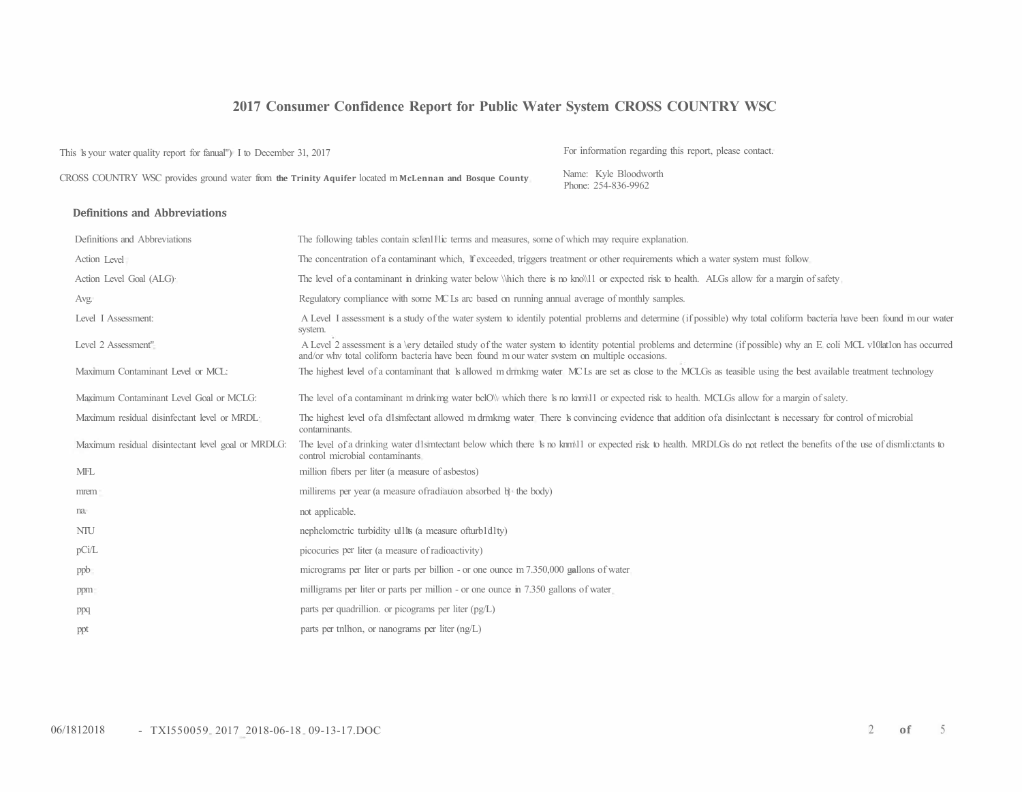## **2017 Consumer Confidence Report for Public Water System CROSS COUNTRY WSC**

This <sup>1</sup>s your water quality report for fanual") I to December 31, 2017 For information regarding this report, please contact.

CROSS COUNTRY WSC provides ground water from the Trinity Aquifer located m McLennan and Bosque County **Name:** Kyle Bloodworth

Phone: 254-836-9962

#### **Definitions and Abbreviations**

| Definitions and Abbreviations                      | The following tables contain sclen11lic terms and measures, some of which may require explanation.                                                                                                                                                                           |
|----------------------------------------------------|------------------------------------------------------------------------------------------------------------------------------------------------------------------------------------------------------------------------------------------------------------------------------|
| Action Level                                       | The concentration of a contaminant which, If exceeded, triggers treatment or other requirements which a water system must follow                                                                                                                                             |
| Action Level Goal (ALG).                           | The level of a contaminant in drinking water below Which there is no known or expected risk to health. ALGs allow for a margin of safety                                                                                                                                     |
| Avg.                                               | Regulatory compliance with some MC Ls arc based on running annual average of monthly samples.                                                                                                                                                                                |
| Level I Assessment:                                | A Level I assessment is a study of the water system to identily potential problems and determine (if possible) why total coliform bacteria have been found m our water<br>system.                                                                                            |
| Level 2 Assessment"                                | A Level 2 assessment is a <i>\ery</i> detailed study of the water system to identity potential problems and determine (if possible) why an E coli MCL v10lat1on has occurred<br>and/or why total coliform bacteria have been found m our water system on multiple occasions. |
| Maximum Contaminant Level or MCL:                  | The highest level of a contaminant that k allowed m drmkmg water MCLs are set as close to the MCLGs as teasible using the best available treatment technology                                                                                                                |
| Maximum Contaminant Level Goal or MCLG:            | The level of a contaminant m drinking water bclOW which there k no knm\l1 or expected risk to health. MCLGs allow for a margin of salety.                                                                                                                                    |
| Maximum residual disinfectant level or MRDL:       | The highest level of a d1smfectant allowed m drmkmg water There is convincing evidence that addition of a disinlectant is necessary for control of microbial<br>contaminants.                                                                                                |
| Maximum residual disintectant level goal or MRDLG: | The level of a drinking water d1smtectant below which there is no knm\l1 or expected risk to health. MRDLGs do not retlect the benefits of the use of dismli:ctants to<br>control microbial contaminants                                                                     |
| MFL                                                | million fibers per liter (a measure of asbestos)                                                                                                                                                                                                                             |
| mrem                                               | millirems per year (a measure of radiation absorbed b) the body)                                                                                                                                                                                                             |
| na.                                                | not applicable.                                                                                                                                                                                                                                                              |
| NTU                                                | nephelometric turbidity ull ts (a measure of turbld lty)                                                                                                                                                                                                                     |
| pCi/L                                              | picocuries per liter (a measure of radioactivity)                                                                                                                                                                                                                            |
| ppb                                                | micrograms per liter or parts per billion - or one ounce m 7.350,000 gallons of water                                                                                                                                                                                        |
| ppm                                                | milligrams per liter or parts per million - or one ounce in 7.350 gallons of water                                                                                                                                                                                           |
| ppq                                                | parts per quadrillion. or picograms per liter $(pg/L)$                                                                                                                                                                                                                       |
| ppt                                                | parts per tnlhon, or nanograms per liter $(ng/L)$                                                                                                                                                                                                                            |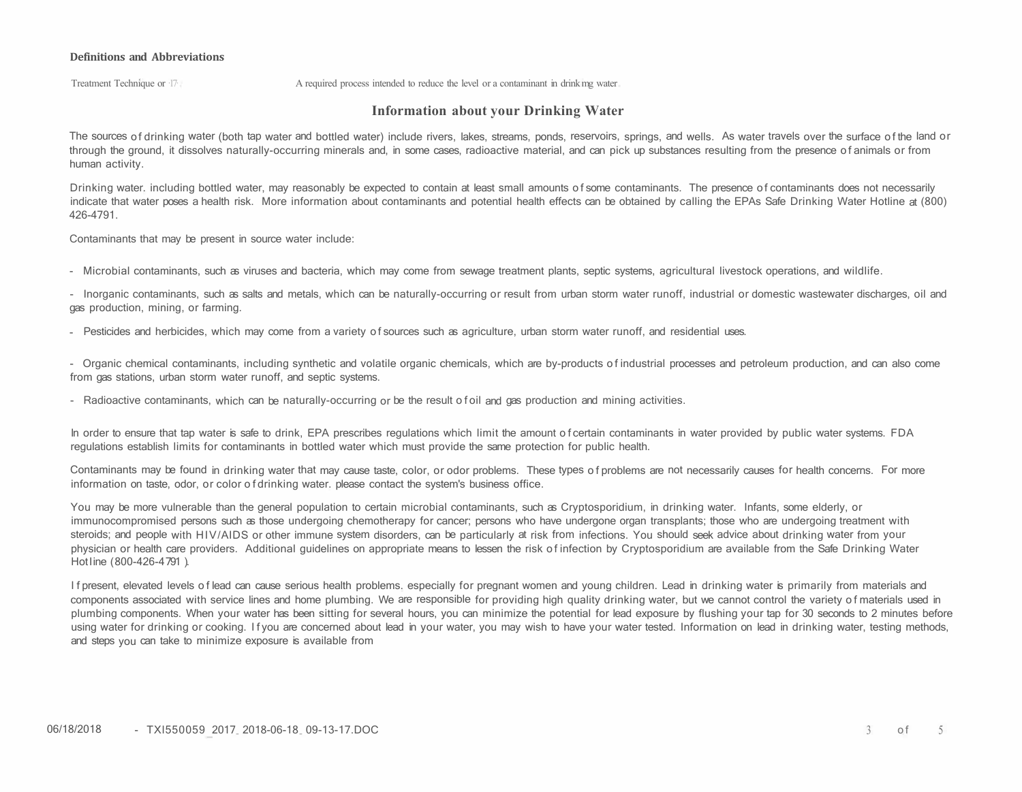#### **Definitions and Abbreviations**

Treatment Technique or  $17<sub>1</sub>$  A required process intended to reduce the level or a contaminant in drink mg water

#### **Information about your Drinking Water**

The sources of drinking water (both tap water and bottled water) include rivers, lakes, streams, ponds, reservoirs, springs, and wells. As water travels over the surface of the land or through the ground, it dissolves naturally-occurring minerals and, in some cases, radioactive material, and can pick up substances resulting from the presence of animals or from human activity.

Drinking water. including bottled water, may reasonably be expected to contain at least small amounts of some contaminants. The presence of contaminants does not necessarily indicate that water poses a health risk. More information about contaminants and potential health effects can be obtained by calling the EPAs Safe Drinking Water Hotline at (800) 426-4791.

Contaminants that may be present in source water include:

- Microbial contaminants, such as viruses and bacteria, which may come from sewage treatment plants, septic systems, agricultural livestock operations, and wildlife.

- Inorganic contaminants, such as salts and metals, which can be naturally-occurring or result from urban storm water runoff, industrial or domestic wastewater discharges, oil and gas production, mining, or farming.

- Pesticides and herbicides, which may come from a variety of sources such as agriculture, urban storm water runoff, and residential uses.

- Organic chemical contaminants, including synthetic and volatile organic chemicals, which are by-products of industrial processes and petroleum production, and can also come from gas stations, urban storm water runoff, and septic systems.

- Radioactive contaminants, which can be naturally-occurring or be the result of oil and gas production and mining activities.

In order to ensure that tap water is safe to drink, EPA prescribes regulations which limit the amount of certain contaminants in water provided by public water systems. FDA regulations establish limits for contaminants in bottled water which must provide the same protection for public health.

Contaminants may be found in drinking water that may cause taste, color, or odor problems. These types of problems are not necessarily causes for health concerns. For more information on taste, odor, or color of drinking water. please contact the system's business office.

You may be more vulnerable than the general population to certain microbial contaminants, such as Cryptosporidium, in drinking water. Infants, some elderly, or immunocompromised persons such as those undergoing chemotherapy for cancer; persons who have undergone organ transplants; those who are undergoing treatment with steroids; and people with HIV/AIDS or other immune system disorders, can be particularly at risk from infections. You should seek advice about drinking water from your physician or health care providers. Additional guidelines on appropriate means to lessen the risk of infection by Cryptosporidium are available from the Safe Drinking Water Hot line (800-426-4791).

If present, elevated levels of lead can cause serious health problems, especially for pregnant women and young children. Lead in drinking water is primarily from materials and components associated with service lines and home plumbing. We are responsible for providing high quality drinking water, but we cannot control the variety of materials used in plumbing components. When your water has been sitting for several hours, you can minimize the potential for lead exposure by flushing your tap for 30 seconds to 2 minutes before using water for drinking or cooking. If you are concerned about lead in your water, you may wish to have your water tested. Information on lead in drinking water, testing methods, and steps you can take to minimize exposure is available from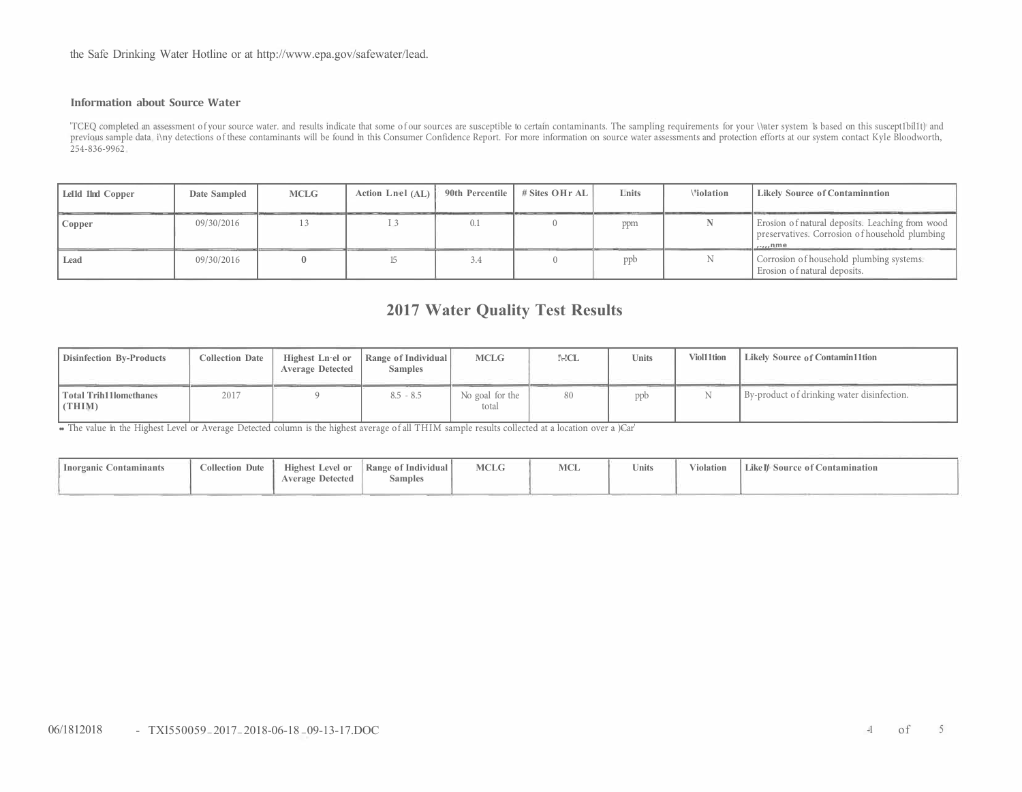the Safe Drinking Water Hotline or at http://www.epa.gov/safewater/lead.

#### **Information about Source Water**

'TCEQ completed an assessment of your source water. and results indicate that some of our sources are susceptible to certain contaminants. The sampling requirements for your \\ater system 1s based on this suscept1bil1t) and previous sample data i\ny detections of these contaminants will be found in this Consumer Confidence Report. For more information on source water assessments and protection efforts at our system contact Kyle Bloodworth, 254-836-9962

| Lelld 1lnd Copper | Date Sampled | <b>MCLG</b> | Action Lnel (AL) | 90th Percentile | # Sites OHr AL | Lnits | <b>Violation</b> | <b>Likely Source of Contamination</b>                                                                             |
|-------------------|--------------|-------------|------------------|-----------------|----------------|-------|------------------|-------------------------------------------------------------------------------------------------------------------|
| $\Gamma$ Copper   | 09/30/2016   |             |                  |                 |                | ppm   |                  | Erosion of natural deposits. Leaching from wood<br>preservatives. Corrosion of household plumbing  <br>$\mu$ unme |
| Lead              | 09/30/2016   |             |                  |                 |                | ppb   |                  | Corrosion of household plumbing systems.<br>Erosion of natural deposits.                                          |

# **2017 Water Quality Test Results**

| <b>Disinfection By-Products</b>         | <b>Collection Date</b> | Highest Ln·el or<br><b>Average Detected</b> | Range of Individual<br><b>Samples</b> | <b>MCLG</b>              | !\-!CL | <b>Units</b> | <b>Viol11tion</b> | Likely Source of Contamin11tion            |
|-----------------------------------------|------------------------|---------------------------------------------|---------------------------------------|--------------------------|--------|--------------|-------------------|--------------------------------------------|
| <b>Total Trih11lomethanes</b><br>(THIM) | 2017                   |                                             | $8.5 - 8.5$                           | No goal for the<br>total | 80     | ppb          |                   | By-product of drinking water disinfection. |

•• The value in the Highest Level or Average Detected column is the highest average of all THIM sample results collected at a location over a )Car'

| Contaminants<br>Inorganic C | <b>Collection Dute</b> | <b>Highest Level or</b><br><b>Average Detected</b> | Range of Individual<br><b>Samples</b> | <b>MCLG</b> | <b>MCL</b> | <b>Units</b> | Violation | Like I <sup>n</sup> Source of Contamination |
|-----------------------------|------------------------|----------------------------------------------------|---------------------------------------|-------------|------------|--------------|-----------|---------------------------------------------|
|-----------------------------|------------------------|----------------------------------------------------|---------------------------------------|-------------|------------|--------------|-----------|---------------------------------------------|